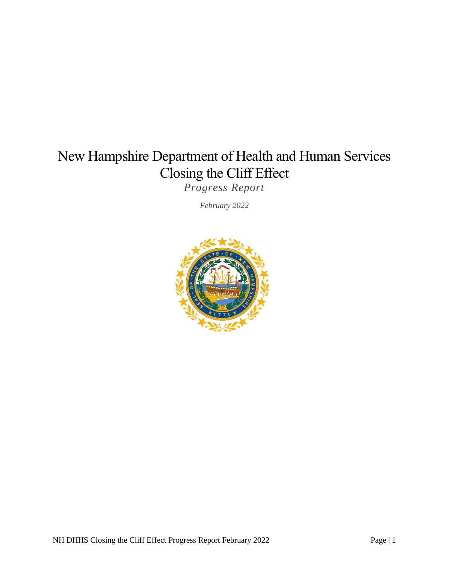# New Hampshire Department of Health and Human Services Closing the Cliff Effect

*Progress Report*

*February 2022*

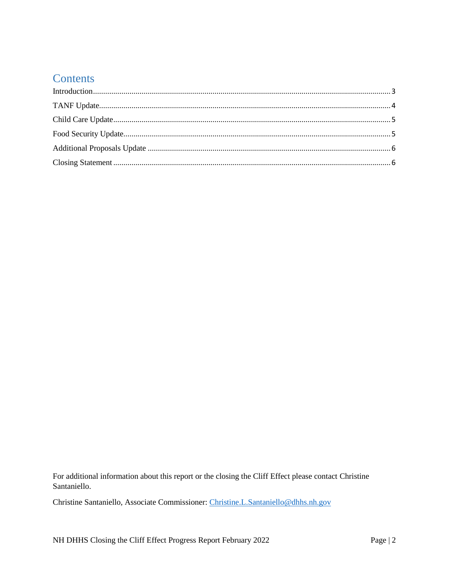### **Contents**

For additional information about this report or the closing the Cliff Effect please contact Christine Santaniello.

Christine Santaniello, Associate Commissioner: Christine.L.Santaniello@dhhs.nh.gov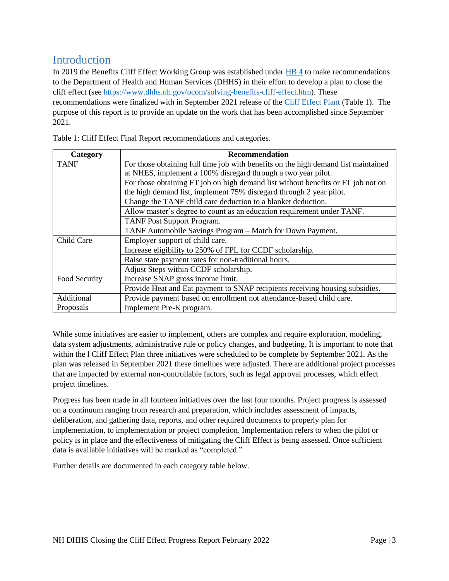### <span id="page-2-0"></span>Introduction

In 2019 the Benefits Cliff Effect Working Group was established under [HB 4](https://bills.nhliberty.org/bills/2019/HB4) to make recommendations to the Department of Health and Human Services (DHHS) in their effort to develop a plan to close the cliff effect (see [https://www.dhhs.nh.gov/ocom/solving-benefits-cliff-effect.htm\)](https://www.dhhs.nh.gov/ocom/solving-benefits-cliff-effect.htm). These recommendations were finalized with in September 2021 release of the [Cliff Effect Plant](https://www.dhhs.nh.gov/ocom/documents/cliff-effects-final-report.pdf) (Table 1). The purpose of this report is to provide an update on the work that has been accomplished since September 2021.

| Category      | <b>Recommendation</b>                                                              |  |  |  |  |
|---------------|------------------------------------------------------------------------------------|--|--|--|--|
| <b>TANF</b>   | For those obtaining full time job with benefits on the high demand list maintained |  |  |  |  |
|               | at NHES, implement a 100% disregard through a two year pilot.                      |  |  |  |  |
|               | For those obtaining FT job on high demand list without benefits or FT job not on   |  |  |  |  |
|               | the high demand list, implement 75% disregard through 2 year pilot.                |  |  |  |  |
|               | Change the TANF child care deduction to a blanket deduction.                       |  |  |  |  |
|               | Allow master's degree to count as an education requirement under TANF.             |  |  |  |  |
|               | <b>TANF Post Support Program.</b>                                                  |  |  |  |  |
|               | TANF Automobile Savings Program – Match for Down Payment.                          |  |  |  |  |
| Child Care    | Employer support of child care.                                                    |  |  |  |  |
|               | Increase eligibility to 250% of FPL for CCDF scholarship.                          |  |  |  |  |
|               | Raise state payment rates for non-traditional hours.                               |  |  |  |  |
|               | Adjust Steps within CCDF scholarship.                                              |  |  |  |  |
| Food Security | Increase SNAP gross income limit.                                                  |  |  |  |  |
|               | Provide Heat and Eat payment to SNAP recipients receiving housing subsidies.       |  |  |  |  |
| Additional    | Provide payment based on enrollment not attendance-based child care.               |  |  |  |  |
| Proposals     | Implement Pre-K program.                                                           |  |  |  |  |

Table 1: Cliff Effect Final Report recommendations and categories.

While some initiatives are easier to implement, others are complex and require exploration, modeling, data system adjustments, administrative rule or policy changes, and budgeting. It is important to note that within the l Cliff Effect Plan three initiatives were scheduled to be complete by September 2021. As the plan was released in September 2021 these timelines were adjusted. There are additional project processes that are impacted by external non-controllable factors, such as legal approval processes, which effect project timelines.

Progress has been made in all fourteen initiatives over the last four months. Project progress is assessed on a continuum ranging from research and preparation, which includes assessment of impacts, deliberation, and gathering data, reports, and other required documents to properly plan for implementation, to implementation or project completion. Implementation refers to when the pilot or policy is in place and the effectiveness of mitigating the Cliff Effect is being assessed. Once sufficient data is available initiatives will be marked as "completed."

Further details are documented in each category table below.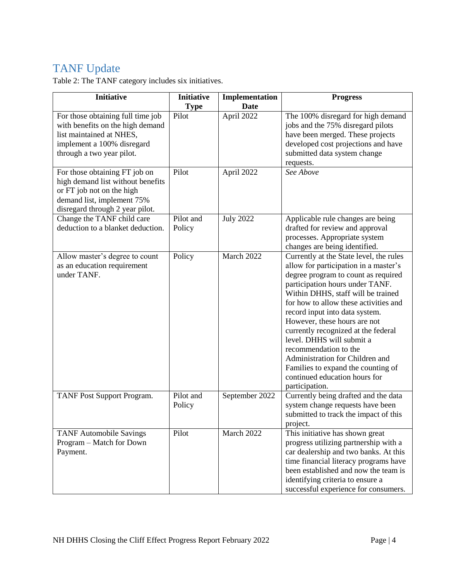## <span id="page-3-0"></span>TANF Update

Table 2: The TANF category includes six initiatives.

| <b>Initiative</b>                                                                                                                                                | <b>Initiative</b><br><b>Type</b> | Implementation<br><b>Date</b> | <b>Progress</b>                                                                                                                                                                                                                                                                                                                                                                                                                                                                                                                      |
|------------------------------------------------------------------------------------------------------------------------------------------------------------------|----------------------------------|-------------------------------|--------------------------------------------------------------------------------------------------------------------------------------------------------------------------------------------------------------------------------------------------------------------------------------------------------------------------------------------------------------------------------------------------------------------------------------------------------------------------------------------------------------------------------------|
| For those obtaining full time job<br>with benefits on the high demand<br>list maintained at NHES,<br>implement a 100% disregard<br>through a two year pilot.     | Pilot                            | April 2022                    | The 100% disregard for high demand<br>jobs and the 75% disregard pilots<br>have been merged. These projects<br>developed cost projections and have<br>submitted data system change<br>requests.                                                                                                                                                                                                                                                                                                                                      |
| For those obtaining FT job on<br>high demand list without benefits<br>or FT job not on the high<br>demand list, implement 75%<br>disregard through 2 year pilot. | Pilot                            | April 2022                    | See Above                                                                                                                                                                                                                                                                                                                                                                                                                                                                                                                            |
| Change the TANF child care<br>deduction to a blanket deduction.                                                                                                  | Pilot and<br>Policy              | <b>July 2022</b>              | Applicable rule changes are being<br>drafted for review and approval<br>processes. Appropriate system<br>changes are being identified.                                                                                                                                                                                                                                                                                                                                                                                               |
| Allow master's degree to count<br>as an education requirement<br>under TANF.                                                                                     | Policy                           | March 2022                    | Currently at the State level, the rules<br>allow for participation in a master's<br>degree program to count as required<br>participation hours under TANF.<br>Within DHHS, staff will be trained<br>for how to allow these activities and<br>record input into data system.<br>However, these hours are not<br>currently recognized at the federal<br>level. DHHS will submit a<br>recommendation to the<br>Administration for Children and<br>Families to expand the counting of<br>continued education hours for<br>participation. |
| TANF Post Support Program.                                                                                                                                       | Pilot and<br>Policy              | September 2022                | Currently being drafted and the data<br>system change requests have been<br>submitted to track the impact of this<br>project.                                                                                                                                                                                                                                                                                                                                                                                                        |
| <b>TANF Automobile Savings</b><br>Program – Match for Down<br>Payment.                                                                                           | Pilot                            | March 2022                    | This initiative has shown great<br>progress utilizing partnership with a<br>car dealership and two banks. At this<br>time financial literacy programs have<br>been established and now the team is<br>identifying criteria to ensure a<br>successful experience for consumers.                                                                                                                                                                                                                                                       |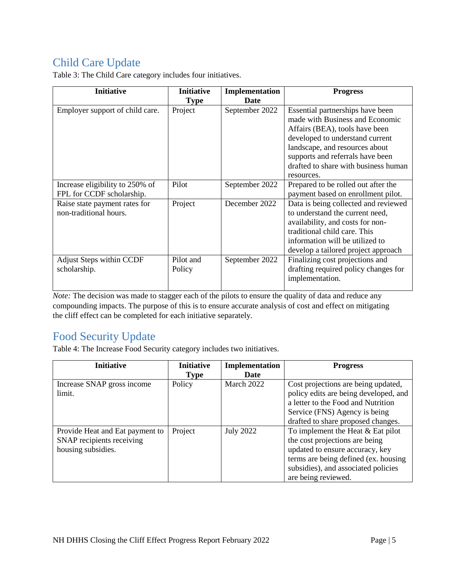# <span id="page-4-0"></span>Child Care Update

| <b>Initiative</b>               | <b>Initiative</b> | Implementation | <b>Progress</b>                                                     |
|---------------------------------|-------------------|----------------|---------------------------------------------------------------------|
|                                 | <b>Type</b>       | Date           |                                                                     |
| Employer support of child care. | Project           | September 2022 | Essential partnerships have been<br>made with Business and Economic |
|                                 |                   |                | Affairs (BEA), tools have been                                      |
|                                 |                   |                | developed to understand current                                     |
|                                 |                   |                | landscape, and resources about                                      |
|                                 |                   |                | supports and referrals have been                                    |
|                                 |                   |                | drafted to share with business human                                |
|                                 |                   |                | resources.                                                          |
| Increase eligibility to 250% of | Pilot             | September 2022 | Prepared to be rolled out after the                                 |
| FPL for CCDF scholarship.       |                   |                | payment based on enrollment pilot.                                  |
| Raise state payment rates for   | Project           | December 2022  | Data is being collected and reviewed                                |
| non-traditional hours.          |                   |                | to understand the current need,                                     |
|                                 |                   |                | availability, and costs for non-                                    |
|                                 |                   |                | traditional child care. This                                        |
|                                 |                   |                | information will be utilized to                                     |
|                                 |                   |                | develop a tailored project approach                                 |
| <b>Adjust Steps within CCDF</b> | Pilot and         | September 2022 | Finalizing cost projections and                                     |
| scholarship.                    | Policy            |                | drafting required policy changes for                                |
|                                 |                   |                | implementation.                                                     |
|                                 |                   |                |                                                                     |

Table 3: The Child Care category includes four initiatives.

*Note:* The decision was made to stagger each of the pilots to ensure the quality of data and reduce any compounding impacts. The purpose of this is to ensure accurate analysis of cost and effect on mitigating the cliff effect can be completed for each initiative separately.

#### <span id="page-4-1"></span>Food Security Update

Table 4: The Increase Food Security category includes two initiatives.

| <b>Initiative</b>               | <b>Initiative</b> | Implementation   | <b>Progress</b>                       |
|---------------------------------|-------------------|------------------|---------------------------------------|
|                                 | <b>Type</b>       | Date             |                                       |
| Increase SNAP gross income      | Policy            | March 2022       | Cost projections are being updated,   |
| limit.                          |                   |                  | policy edits are being developed, and |
|                                 |                   |                  | a letter to the Food and Nutrition    |
|                                 |                   |                  | Service (FNS) Agency is being         |
|                                 |                   |                  | drafted to share proposed changes.    |
| Provide Heat and Eat payment to | Project           | <b>July 2022</b> | To implement the Heat $&$ Eat pilot   |
| SNAP recipients receiving       |                   |                  | the cost projections are being        |
| housing subsidies.              |                   |                  | updated to ensure accuracy, key       |
|                                 |                   |                  | terms are being defined (ex. housing  |
|                                 |                   |                  | subsidies), and associated policies   |
|                                 |                   |                  | are being reviewed.                   |